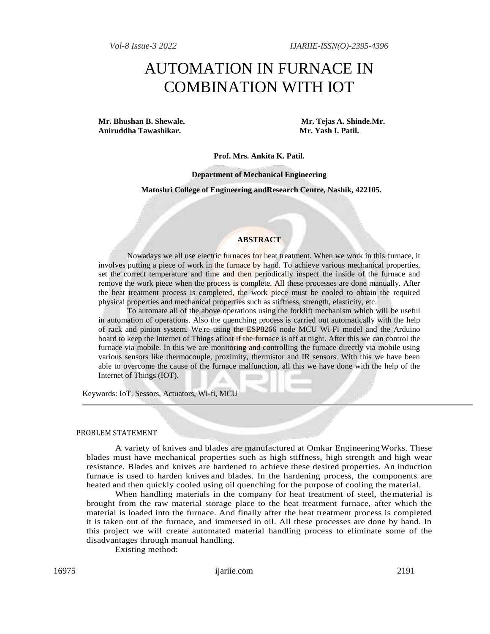# AUTOMATION IN FURNACE IN COMBINATION WITH IOT

**Mr. Bhushan B. Shewale. Mr. Tejas A. Shinde.Mr. Aniruddha Tawashikar. Mr. Yash I. Patil.**

#### **Prof. Mrs. Ankita K. Patil.**

**Department of Mechanical Engineering**

**Matoshri College of Engineering andResearch Centre, Nashik, 422105.**

## **ABSTRACT**

Nowadays we all use electric furnaces for heat treatment. When we work in this furnace, it involves putting a piece of work in the furnace by hand. To achieve various mechanical properties, set the correct temperature and time and then periodically inspect the inside of the furnace and remove the work piece when the process is complete. All these processes are done manually. After the heat treatment process is completed, the work piece must be cooled to obtain the required physical properties and mechanical properties such as stiffness, strength, elasticity, etc.

To automate all of the above operations using the forklift mechanism which will be useful in automation of operations. Also the quenching process is carried out automatically with the help of rack and pinion system. We're using the ESP8266 node MCU Wi-Fi model and the Arduino board to keep the Internet of Things afloat if the furnace is off at night. After this we can control the furnace via mobile. In this we are monitoring and controlling the furnace directly via mobile using various sensors like thermocouple, proximity, thermistor and IR sensors. With this we have been able to overcome the cause of the furnace malfunction, all this we have done with the help of the Internet of Things (IOT).

Keywords: IoT, Sessors, Actuators, Wi-fi, MCU

#### PROBLEM STATEMENT

A variety of knives and blades are manufactured at Omkar EngineeringWorks. These blades must have mechanical properties such as high stiffness, high strength and high wear resistance. Blades and knives are hardened to achieve these desired properties. An induction furnace is used to harden knives and blades. In the hardening process, the components are heated and then quickly cooled using oil quenching for the purpose of cooling the material.

When handling materials in the company for heat treatment of steel, thematerial is brought from the raw material storage place to the heat treatment furnace, after which the material is loaded into the furnace. And finally after the heat treatment process is completed it is taken out of the furnace, and immersed in oil. All these processes are done by hand. In this project we will create automated material handling process to eliminate some of the disadvantages through manual handling.

Existing method: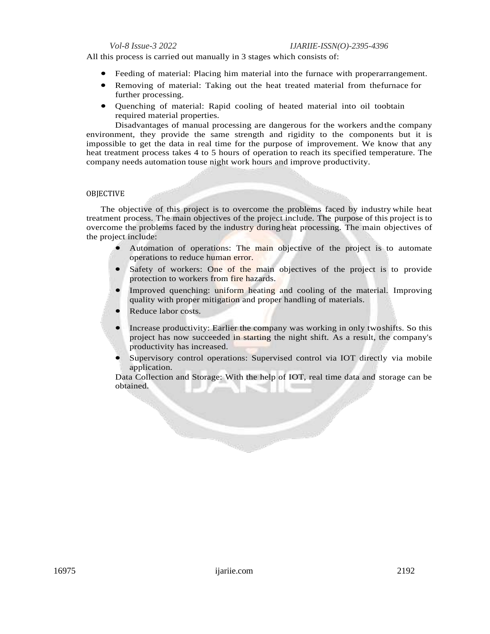All this process is carried out manually in 3 stages which consists of:

- Feeding of material: Placing him material into the furnace with properarrangement.
- Removing of material: Taking out the heat treated material from thefurnace for further processing.
- Quenching of material: Rapid cooling of heated material into oil toobtain required material properties.

Disadvantages of manual processing are dangerous for the workers andthe company environment, they provide the same strength and rigidity to the components but it is impossible to get the data in real time for the purpose of improvement. We know that any heat treatment process takes 4 to 5 hours of operation to reach its specified temperature. The company needs automation touse night work hours and improve productivity.

## OBJECTIVE

The objective of this project is to overcome the problems faced by industry while heat treatment process. The main objectives of the project include. The purpose of this project is to overcome the problems faced by the industry during heat processing. The main objectives of the project include:

- Automation of operations: The main objective of the project is to automate operations to reduce human error.
- Safety of workers: One of the main objectives of the project is to provide protection to workers from fire hazards.
- Improved quenching: uniform heating and cooling of the material. Improving quality with proper mitigation and proper handling of materials.
- Reduce labor costs.
- Increase productivity: Earlier the company was working in only twoshifts. So this project has now succeeded in starting the night shift. As a result, the company's productivity has increased.
- Supervisory control operations: Supervised control via IOT directly via mobile application.

Data Collection and Storage: With the help of IOT, real time data and storage can be obtained.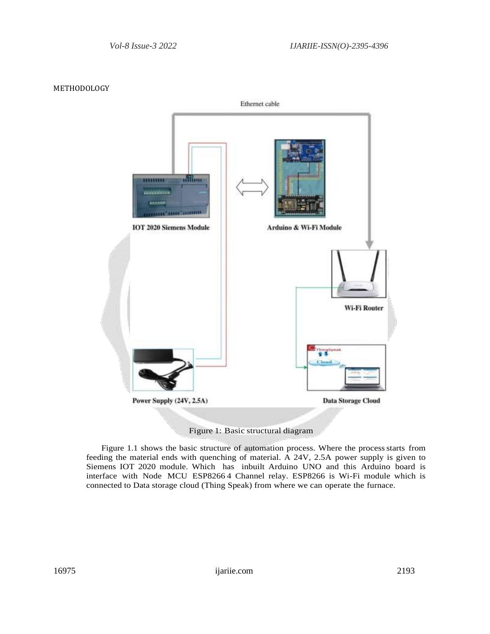

## METHODOLOGY

Figure 1: Basic structural diagram

Figure 1.1 shows the basic structure of automation process. Where the process starts from feeding the material ends with quenching of material. A 24V, 2.5A power supply is given to Siemens IOT 2020 module. Which has inbuilt Arduino UNO and this Arduino board is interface with Node MCU ESP8266 4 Channel relay. ESP8266 is Wi-Fi module which is connected to Data storage cloud (Thing Speak) from where we can operate the furnace.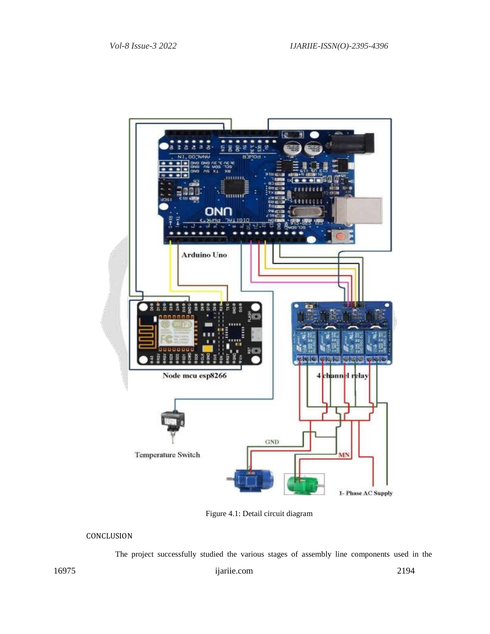

Figure 4.1: Detail circuit diagram

# CONCLUSION

The project successfully studied the various stages of assembly line components used in the